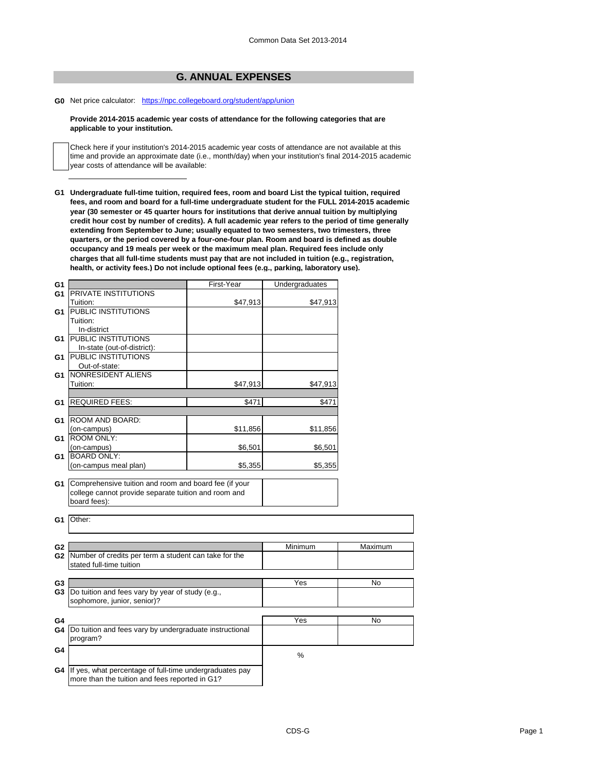## **G. ANNUAL EXPENSES**

**G0** [Net price calculator: https://npc.collegeboard.org/student/app/union](https://npc.collegeboard.org/student/app/union)

## **Provide 2014-2015 academic year costs of attendance for the following categories that are applicable to your institution.**

Check here if your institution's 2014-2015 academic year costs of attendance are not available at this time and provide an approximate date (i.e., month/day) when your institution's final 2014-2015 academic year costs of attendance will be available:

**G1 Undergraduate full-time tuition, required fees, room and board List the typical tuition, required fees, and room and board for a full-time undergraduate student for the FULL 2014-2015 academic year (30 semester or 45 quarter hours for institutions that derive annual tuition by multiplying credit hour cost by number of credits). A full academic year refers to the period of time generally extending from September to June; usually equated to two semesters, two trimesters, three quarters, or the period covered by a four-one-four plan. Room and board is defined as double occupancy and 19 meals per week or the maximum meal plan. Required fees include only charges that all full-time students must pay that are not included in tuition (e.g., registration, health, or activity fees.) Do not include optional fees (e.g., parking, laboratory use).**

| G1             |                                                         | First-Year | Undergraduates |         |
|----------------|---------------------------------------------------------|------------|----------------|---------|
| G1             | PRIVATE INSTITUTIONS                                    |            |                |         |
|                | Tuition:                                                | \$47,913   | \$47,913       |         |
| G <sub>1</sub> | <b>PUBLIC INSTITUTIONS</b>                              |            |                |         |
|                | Tuition:                                                |            |                |         |
|                | In-district                                             |            |                |         |
| G1             | <b>PUBLIC INSTITUTIONS</b>                              |            |                |         |
|                | In-state (out-of-district):                             |            |                |         |
| G1             | <b>PUBLIC INSTITUTIONS</b>                              |            |                |         |
|                | Out-of-state:                                           |            |                |         |
| G1             | <b>NONRESIDENT ALIENS</b>                               |            |                |         |
|                | Tuition:                                                | \$47,913   | \$47,913       |         |
|                |                                                         |            |                |         |
| G1             | <b>REQUIRED FEES:</b>                                   | \$471      | \$471          |         |
|                |                                                         |            |                |         |
| G1             | ROOM AND BOARD:                                         |            |                |         |
|                | (on-campus)                                             | \$11,856   | \$11,856       |         |
| G1             | <b>ROOM ONLY:</b>                                       |            |                |         |
|                | (on-campus)                                             | \$6,501    | \$6,501        |         |
| G1             | <b>BOARD ONLY:</b>                                      |            |                |         |
|                | (on-campus meal plan)                                   | \$5,355    | \$5,355        |         |
|                |                                                         |            |                |         |
| G1             | Comprehensive tuition and room and board fee (if your   |            |                |         |
|                | college cannot provide separate tuition and room and    |            |                |         |
|                | board fees):                                            |            |                |         |
|                |                                                         |            |                |         |
| G1             | Other:                                                  |            |                |         |
|                |                                                         |            |                |         |
|                |                                                         |            |                |         |
| G <sub>2</sub> |                                                         |            | Minimum        | Maximum |
| G2             | Number of credits per term a student can take for the   |            |                |         |
|                | stated full-time tuition                                |            |                |         |
|                |                                                         |            |                |         |
| G3             |                                                         |            | Yes            | No      |
| G3             | Do tuition and fees vary by year of study (e.g.,        |            |                |         |
|                | sophomore, junior, senior)?                             |            |                |         |
|                |                                                         |            |                |         |
| G4             |                                                         |            | Yes            | No      |
| G4             | Do tuition and fees vary by undergraduate instructional |            |                |         |
|                | program?                                                |            |                |         |
|                |                                                         |            |                |         |
| G4             |                                                         |            | $\%$           |         |
|                |                                                         |            |                |         |
| G4             | If yes, what percentage of full-time undergraduates pay |            |                |         |
|                | more than the tuition and fees reported in G1?          |            |                |         |